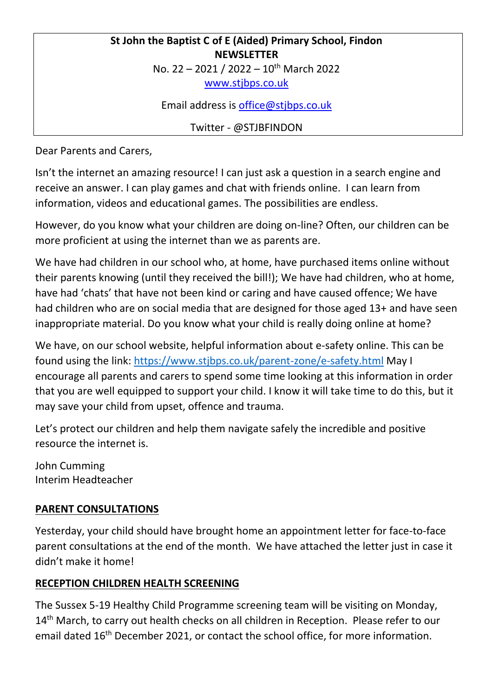### **St John the Baptist C of E (Aided) Primary School, Findon NEWSLETTER** No. 22 - 2021 / 2022 - 10<sup>th</sup> March 2022

[www.stjbps.co.uk](http://www.stjbps.co.uk/)

Email address is [office@stjbps.co.uk](mailto:office@stjbps.co.uk)

Twitter - @STJBFINDON

Dear Parents and Carers,

Isn't the internet an amazing resource! I can just ask a question in a search engine and receive an answer. I can play games and chat with friends online. I can learn from information, videos and educational games. The possibilities are endless.

However, do you know what your children are doing on-line? Often, our children can be more proficient at using the internet than we as parents are.

We have had children in our school who, at home, have purchased items online without their parents knowing (until they received the bill!); We have had children, who at home, have had 'chats' that have not been kind or caring and have caused offence; We have had children who are on social media that are designed for those aged 13+ and have seen inappropriate material. Do you know what your child is really doing online at home?

We have, on our school website, helpful information about e-safety online. This can be found using the link:<https://www.stjbps.co.uk/parent-zone/e-safety.html> May I encourage all parents and carers to spend some time looking at this information in order that you are well equipped to support your child. I know it will take time to do this, but it may save your child from upset, offence and trauma.

Let's protect our children and help them navigate safely the incredible and positive resource the internet is.

John Cumming Interim Headteacher

## **PARENT CONSULTATIONS**

Yesterday, your child should have brought home an appointment letter for face-to-face parent consultations at the end of the month. We have attached the letter just in case it didn't make it home!

# **RECEPTION CHILDREN HEALTH SCREENING**

The Sussex 5-19 Healthy Child Programme screening team will be visiting on Monday, 14<sup>th</sup> March, to carry out health checks on all children in Reception. Please refer to our email dated 16<sup>th</sup> December 2021, or contact the school office, for more information.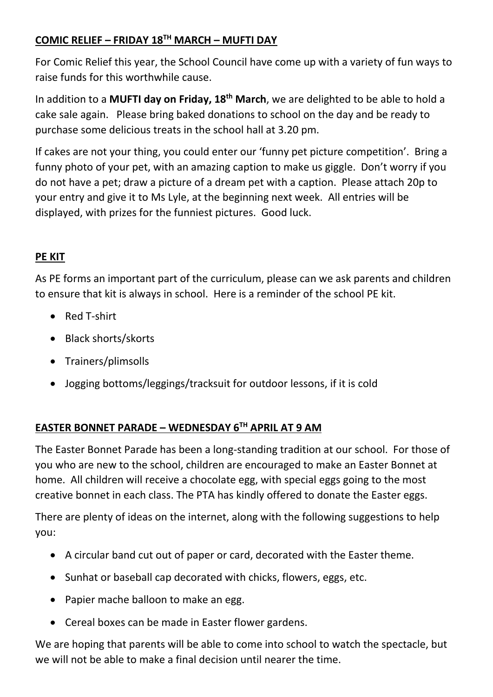## **COMIC RELIEF – FRIDAY 18TH MARCH – MUFTI DAY**

For Comic Relief this year, the School Council have come up with a variety of fun ways to raise funds for this worthwhile cause.

In addition to a **MUFTI day on Friday, 18th March**, we are delighted to be able to hold a cake sale again. Please bring baked donations to school on the day and be ready to purchase some delicious treats in the school hall at 3.20 pm.

If cakes are not your thing, you could enter our 'funny pet picture competition'. Bring a funny photo of your pet, with an amazing caption to make us giggle. Don't worry if you do not have a pet; draw a picture of a dream pet with a caption. Please attach 20p to your entry and give it to Ms Lyle, at the beginning next week. All entries will be displayed, with prizes for the funniest pictures. Good luck.

# **PE KIT**

As PE forms an important part of the curriculum, please can we ask parents and children to ensure that kit is always in school. Here is a reminder of the school PE kit.

- Red T-shirt
- Black shorts/skorts
- Trainers/plimsolls
- Jogging bottoms/leggings/tracksuit for outdoor lessons, if it is cold

## **EASTER BONNET PARADE – WEDNESDAY 6TH APRIL AT 9 AM**

The Easter Bonnet Parade has been a long-standing tradition at our school. For those of you who are new to the school, children are encouraged to make an Easter Bonnet at home. All children will receive a chocolate egg, with special eggs going to the most creative bonnet in each class. The PTA has kindly offered to donate the Easter eggs.

There are plenty of ideas on the internet, along with the following suggestions to help you:

- A circular band cut out of paper or card, decorated with the Easter theme.
- Sunhat or baseball cap decorated with chicks, flowers, eggs, etc.
- Papier mache balloon to make an egg.
- Cereal boxes can be made in Easter flower gardens.

We are hoping that parents will be able to come into school to watch the spectacle, but we will not be able to make a final decision until nearer the time.